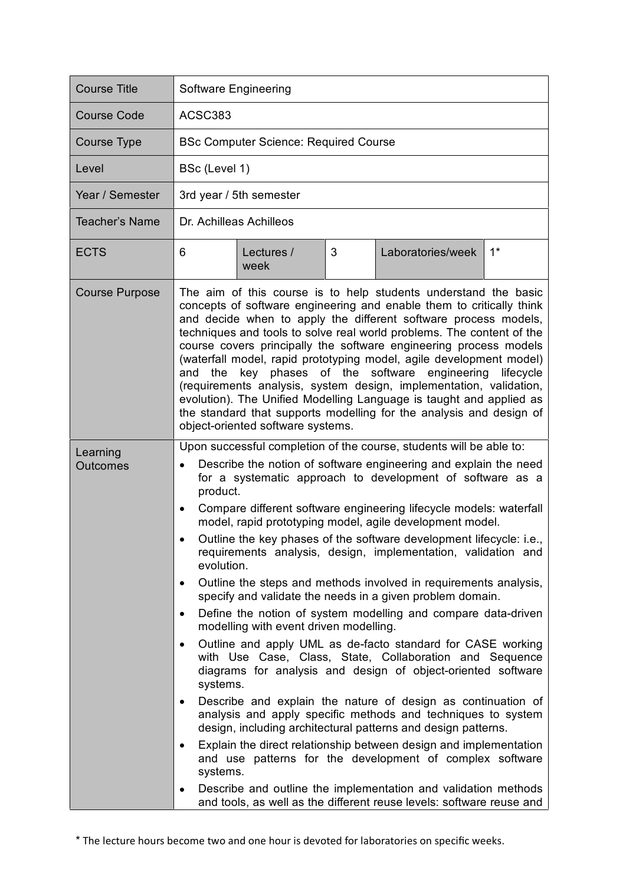| <b>Course Title</b>         | Software Engineering                                                                                                                                                                                                                                                                                                                                                                                                                                                                                                                                                                                                                                                                                                                                                                                                                                                                                                                                                                                                                                                                                                                                                                                                                                                                                                                                                                                                                                                                                |
|-----------------------------|-----------------------------------------------------------------------------------------------------------------------------------------------------------------------------------------------------------------------------------------------------------------------------------------------------------------------------------------------------------------------------------------------------------------------------------------------------------------------------------------------------------------------------------------------------------------------------------------------------------------------------------------------------------------------------------------------------------------------------------------------------------------------------------------------------------------------------------------------------------------------------------------------------------------------------------------------------------------------------------------------------------------------------------------------------------------------------------------------------------------------------------------------------------------------------------------------------------------------------------------------------------------------------------------------------------------------------------------------------------------------------------------------------------------------------------------------------------------------------------------------------|
| <b>Course Code</b>          | ACSC383                                                                                                                                                                                                                                                                                                                                                                                                                                                                                                                                                                                                                                                                                                                                                                                                                                                                                                                                                                                                                                                                                                                                                                                                                                                                                                                                                                                                                                                                                             |
| Course Type                 | <b>BSc Computer Science: Required Course</b>                                                                                                                                                                                                                                                                                                                                                                                                                                                                                                                                                                                                                                                                                                                                                                                                                                                                                                                                                                                                                                                                                                                                                                                                                                                                                                                                                                                                                                                        |
| Level                       | BSc (Level 1)                                                                                                                                                                                                                                                                                                                                                                                                                                                                                                                                                                                                                                                                                                                                                                                                                                                                                                                                                                                                                                                                                                                                                                                                                                                                                                                                                                                                                                                                                       |
| Year / Semester             | 3rd year / 5th semester                                                                                                                                                                                                                                                                                                                                                                                                                                                                                                                                                                                                                                                                                                                                                                                                                                                                                                                                                                                                                                                                                                                                                                                                                                                                                                                                                                                                                                                                             |
| <b>Teacher's Name</b>       | Dr. Achilleas Achilleos                                                                                                                                                                                                                                                                                                                                                                                                                                                                                                                                                                                                                                                                                                                                                                                                                                                                                                                                                                                                                                                                                                                                                                                                                                                                                                                                                                                                                                                                             |
| <b>ECTS</b>                 | 3<br>$1^*$<br>6<br>Laboratories/week<br>Lectures /<br>week                                                                                                                                                                                                                                                                                                                                                                                                                                                                                                                                                                                                                                                                                                                                                                                                                                                                                                                                                                                                                                                                                                                                                                                                                                                                                                                                                                                                                                          |
| <b>Course Purpose</b>       | The aim of this course is to help students understand the basic<br>concepts of software engineering and enable them to critically think<br>and decide when to apply the different software process models,<br>techniques and tools to solve real world problems. The content of the<br>course covers principally the software engineering process models<br>(waterfall model, rapid prototyping model, agile development model)<br>and the key phases of the software engineering lifecycle<br>(requirements analysis, system design, implementation, validation,<br>evolution). The Unified Modelling Language is taught and applied as<br>the standard that supports modelling for the analysis and design of<br>object-oriented software systems.                                                                                                                                                                                                                                                                                                                                                                                                                                                                                                                                                                                                                                                                                                                                                |
| Learning<br><b>Outcomes</b> | Upon successful completion of the course, students will be able to:<br>Describe the notion of software engineering and explain the need<br>for a systematic approach to development of software as a<br>product.<br>Compare different software engineering lifecycle models: waterfall<br>$\bullet$<br>model, rapid prototyping model, agile development model.<br>Outline the key phases of the software development lifecycle: i.e.,<br>requirements analysis, design, implementation, validation and<br>evolution.<br>Outline the steps and methods involved in requirements analysis,<br>٠<br>specify and validate the needs in a given problem domain.<br>Define the notion of system modelling and compare data-driven<br>$\bullet$<br>modelling with event driven modelling.<br>Outline and apply UML as de-facto standard for CASE working<br>$\bullet$<br>with Use Case, Class, State, Collaboration and Sequence<br>diagrams for analysis and design of object-oriented software<br>systems.<br>Describe and explain the nature of design as continuation of<br>٠<br>analysis and apply specific methods and techniques to system<br>design, including architectural patterns and design patterns.<br>Explain the direct relationship between design and implementation<br>and use patterns for the development of complex software<br>systems.<br>Describe and outline the implementation and validation methods<br>and tools, as well as the different reuse levels: software reuse and |

\* The lecture hours become two and one hour is devoted for laboratories on specific weeks.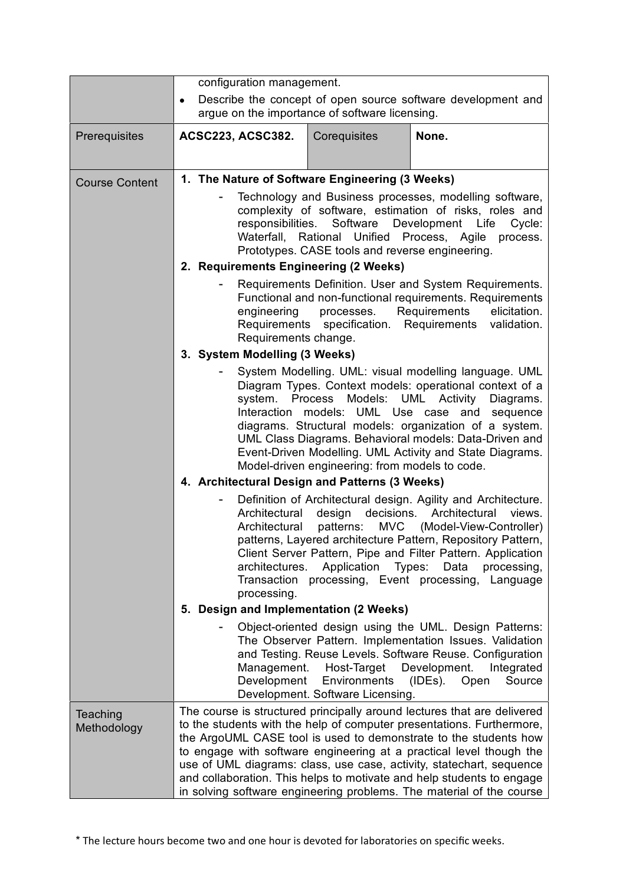|                         | configuration management.                                                                                                                                                                                                                                                                                                                                                                                                                                                                                                                                                         |
|-------------------------|-----------------------------------------------------------------------------------------------------------------------------------------------------------------------------------------------------------------------------------------------------------------------------------------------------------------------------------------------------------------------------------------------------------------------------------------------------------------------------------------------------------------------------------------------------------------------------------|
|                         | Describe the concept of open source software development and<br>$\bullet$<br>argue on the importance of software licensing.                                                                                                                                                                                                                                                                                                                                                                                                                                                       |
| Prerequisites           | <b>ACSC223, ACSC382.</b><br>Corequisites<br>None.                                                                                                                                                                                                                                                                                                                                                                                                                                                                                                                                 |
| <b>Course Content</b>   | 1. The Nature of Software Engineering (3 Weeks)                                                                                                                                                                                                                                                                                                                                                                                                                                                                                                                                   |
|                         | Technology and Business processes, modelling software,<br>complexity of software, estimation of risks, roles and<br>responsibilities.<br>Software Development Life<br>Cycle:<br>Waterfall, Rational Unified Process, Agile<br>process.<br>Prototypes. CASE tools and reverse engineering.                                                                                                                                                                                                                                                                                         |
|                         | 2. Requirements Engineering (2 Weeks)                                                                                                                                                                                                                                                                                                                                                                                                                                                                                                                                             |
|                         | Requirements Definition. User and System Requirements.<br>Functional and non-functional requirements. Requirements<br>engineering<br>Requirements<br>processes.<br>elicitation.<br>Requirements specification. Requirements validation.<br>Requirements change.                                                                                                                                                                                                                                                                                                                   |
|                         | 3. System Modelling (3 Weeks)                                                                                                                                                                                                                                                                                                                                                                                                                                                                                                                                                     |
|                         | System Modelling. UML: visual modelling language. UML<br>Diagram Types. Context models: operational context of a<br>Models: UML Activity<br>system. Process<br>Diagrams.<br>models: UML Use case and sequence<br>Interaction<br>diagrams. Structural models: organization of a system.<br>UML Class Diagrams. Behavioral models: Data-Driven and<br>Event-Driven Modelling. UML Activity and State Diagrams.<br>Model-driven engineering: from models to code.<br>4. Architectural Design and Patterns (3 Weeks)<br>Definition of Architectural design. Agility and Architecture. |
|                         | Architectural<br>design decisions.<br>Architectural<br>views.<br>Architectural<br>patterns:<br>MVC (Model-View-Controller)<br>patterns, Layered architecture Pattern, Repository Pattern,<br>Client Server Pattern, Pipe and Filter Pattern. Application<br>Application<br>Types:<br>Data processing,<br>architectures.<br>Transaction processing, Event processing, Language<br>processing.                                                                                                                                                                                      |
|                         | 5. Design and Implementation (2 Weeks)                                                                                                                                                                                                                                                                                                                                                                                                                                                                                                                                            |
|                         | Object-oriented design using the UML. Design Patterns:<br>The Observer Pattern. Implementation Issues. Validation<br>and Testing. Reuse Levels. Software Reuse. Configuration<br>Development.<br>Management.<br>Host-Target<br>Integrated<br>Environments<br>Development<br>(IDEs).<br>Open<br>Source<br>Development. Software Licensing.                                                                                                                                                                                                                                         |
| Teaching<br>Methodology | The course is structured principally around lectures that are delivered<br>to the students with the help of computer presentations. Furthermore,<br>the ArgoUML CASE tool is used to demonstrate to the students how<br>to engage with software engineering at a practical level though the<br>use of UML diagrams: class, use case, activity, statechart, sequence<br>and collaboration. This helps to motivate and help students to engage<br>in solving software engineering problems. The material of the course                                                              |

\* The lecture hours become two and one hour is devoted for laboratories on specific weeks.